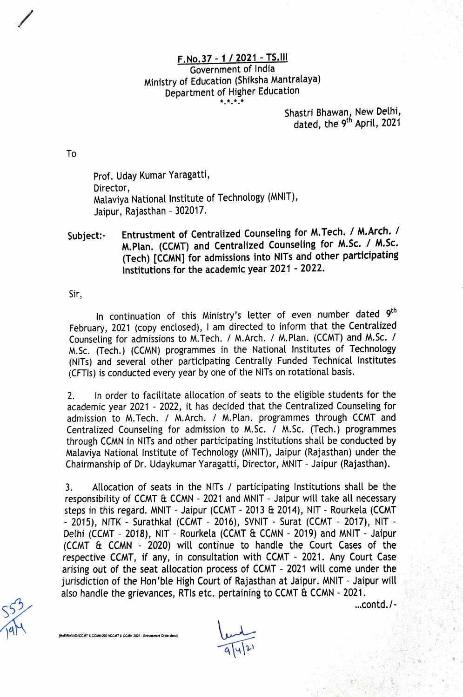## F.No. 37-1/2021-TS.Il Government of India Ministry of Education (Shiksha Mantralaya) Department of Higher Education

Shastri Bhawan, New Delhi, dated, the 9<sup>th</sup> April, 2021

To

Prof. Uday Kumar Yaragatti, Director, Malaviya National Institute of Technology (MNIT), Jaipur, Rajasthan - 302017.

## Entrustment of Centralized Counseling for M.Tech. / M.Arch. / M.Plan. (CCMT) and Centralized Counseling for M.Sc. / M.Sc. (Tech) [CCMN] for admissions into NITs and other participating Institutions for the academic year 2021 - 2022. Subject:-

Sir,

In continuation of this Ministry's letter of even number dated 9<sup>th</sup> February, 2021 (copy enclosed), I am directed to inform that the Centralized Counseling for admissions to M.Tech. / M.Arch. / M.Plan. (CCMT) and M.Sc. / M.Sc. (Tech.) (CCMN) programmes in the National Institutes of Technology (NITS) and several other participating Centrally Funded Technical Institutes (CFTIs) is conducted every year by one of the NITs on rotational basis.

2. In order to facilitate allocation of seats to the eligible students for the academic year 2021 - 2022, it has decided that the Centralized Counseling for admission to M.Tech. / M.Arch. / M.Plan. programmes through CCMT and Centralized Counseling for admission to M.Sc. / M. Sc. (Tech.) programmes through CCMN in NITs and other participating Institutions shall be conducted by Malaviya National Institute of Technology (MNIT), Jaipur (Rajasthan) under the Chairmanship of Dr. Udaykumar Yaragatti, Director, MNIT- Jaipur (Rajasthan).

3. Allocation of seats in the NITs / participating Institutions shall be the responsibility of CCMT  $E$  CCMN - 2021 and MNIT - Jaipur will take all necessary steps in this regard. MNIT - Jaipur (CCMT - 2013 & 2014), NIT - Rourkela (CCMT - 2015), NITK - Surathkal (CCMT - 2016), SVNIT - Surat (CCMT - 2017), NIT -Delhi (CCMT - 2018), NIT - Rourkela (CCMT & CCMN - 2019) and MNIT - Jaipur  $(CCMT \& CCMN - 2020)$  will continue to handle the Court Cases of the respective CCMT, if any, in consultation with CCMT - 2021. Any Court Case arising out of the seat allocation process of CCMT - 2021 will come under the jurisdiction of the Hon'ble High Court of Rajasthan at Jaipur. MNIT - Jaipur will also handle the grievances, RTIs etc. pertaining to CCMT & CCMN - 2021.<br>
S53

[MoE\RAVI\D:\CCMT & CCMN\2021\CCMT & CCMN 2021 - Entrustment Order.docx)